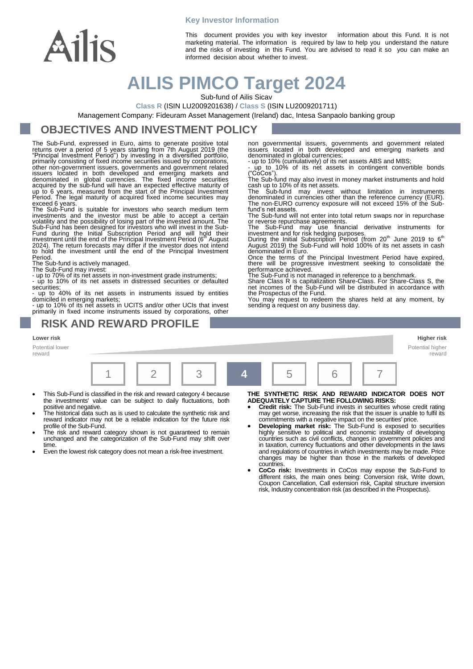

**Key Investor Information**

This document provides you with key investor information about this Fund. It is not marketing material. The information is required by law to help you understand the nature and the risks of investing in this Fund. You are advised to read it so you can make an informed decision about whether to invest.

denominated in global currencies;

or reverse repurchase agreements.

fund's net assets.

# **AILIS PIMCO Target 2024**

Sub-fund of Ailis Sicav

**Class R** (ISIN LU2009201638) / **Class S** (ISIN LU2009201711)

Management Company: Fideuram Asset Management (Ireland) dac, Intesa Sanpaolo banking group

#### **OBJECTIVES AND INVESTMENT POLICY**

The Sub-Fund, expressed in Euro, aims to generate positive total returns over a period of 5 years starting from 7th August 2019 (the "Principal Investment Period") by investing in a diversified portfolio, primarily consisting of fixed income securities issued by corporations, other non-government issuers, governments and government related issuers located in both developed and emerging markets and denominated in global curr

exceed 6 years. The Sub-Fund is suitable for investors who search medium term investments and the investor must be able to accept a certain volatility and the possibility of losing part of the invested amount. The Sub-Fund has been designed for investors who will invest in the Sub-Fund during the Initial Subscription Period and will hold their investment until the end of the Principal Investment Period (6<sup>th</sup> August 2024). The retur Period.

The Sub-fund is actively managed.

The Sub-Fund may invest: - up to 70% of its net assets in non-investment grade instruments;

- up to 10% of its net assets in distressed securities or defaulted

securities; - up to 40% of its net assets in instruments issued by entities domiciled in emerging markets; - up to 10% of its net assets in UCITS and/or other UCIs that invest

primarily in fixed income instruments issued by corporations, other

#### **RISK AND REWARD PROFILE**

**Lower risk Higher risk**

Potential lower reward



- This Sub-Fund is classified in the risk and reward category 4 because the investments' value can be subject to daily fluctuations, both
- positive and negative. The historical data such as is used to calculate the synthetic risk and reward indicator may not be a reliable indication for the future risk profile of the Sub-Fund.
- The risk and reward category shown is not guaranteed to remain unchanged and the categorization of the Sub-Fund may shift over time
- Even the lowest risk category does not mean a risk-free investment.

The Sub-Fund may use financial derivative instruments for<br>investment and for risk hedging purposes.<br>During the Initial Subscription Period (from 20<sup>th</sup> June 2019 to 6<sup>th</sup><br>August 2019) the Sub-Fund will hold 100% of its net

non governmental issuers, governments and government related issuers located in both developed and emerging markets and

- up to 10% (cumulatively) of its net assets ABS and MBS; - up to 10% of its net assets in contingent convertible bonds ("CoCos").

The Sub-fund may also invest in money market instruments and hold<br>cash up to 10% of its net assets.<br>The Sub-fund may invest without limitation in instruments<br>denominated in currencies other than the reference currency (EUR

The Sub-fund will not enter into total return swaps nor in repurchase

denominated in Euro.<br>
Once the terms of the Principal Investment Period have expired,<br>
there will be progressive investment seeking to consolidate the<br>
performance achieved.<br>
The Sub-Fund is not managed in reference to a b

the Prospectus of the Fund.

You may request to redeem the shares held at any moment, by sending a request on any business day.

> Potential higher reward

**THE SYNTHETIC RISK AND REWARD INDICATOR DOES NOT ADEQUATELY CAPTURE THE FOLLOWING RISKS:**

- **Credit risk:** The Sub-Fund invests in securities whose credit rating may get worse, increasing the risk that the issuer is unable to fulfil its commitments with a negative impact on the securities' price. **Developing market risk:** The Sub-Fund is exposed to securities
- highly sensitive to political and economic instability of developing countries such as civil conflicts, changes in government policies and in taxation, currency fluctuations and other developments in the laws and regulations of countries in which investments may be made. Price changes may be higher than those in the markets of developed countries.
- **CoCo risk:** Investments in CoCos may expose the Sub-Fund to different risks, the main ones being: Conversion risk, Write down, Coupon Cancellation, Call extension risk, Capital structure inversion risk, Industry concentration risk (as described in the Prospectus).